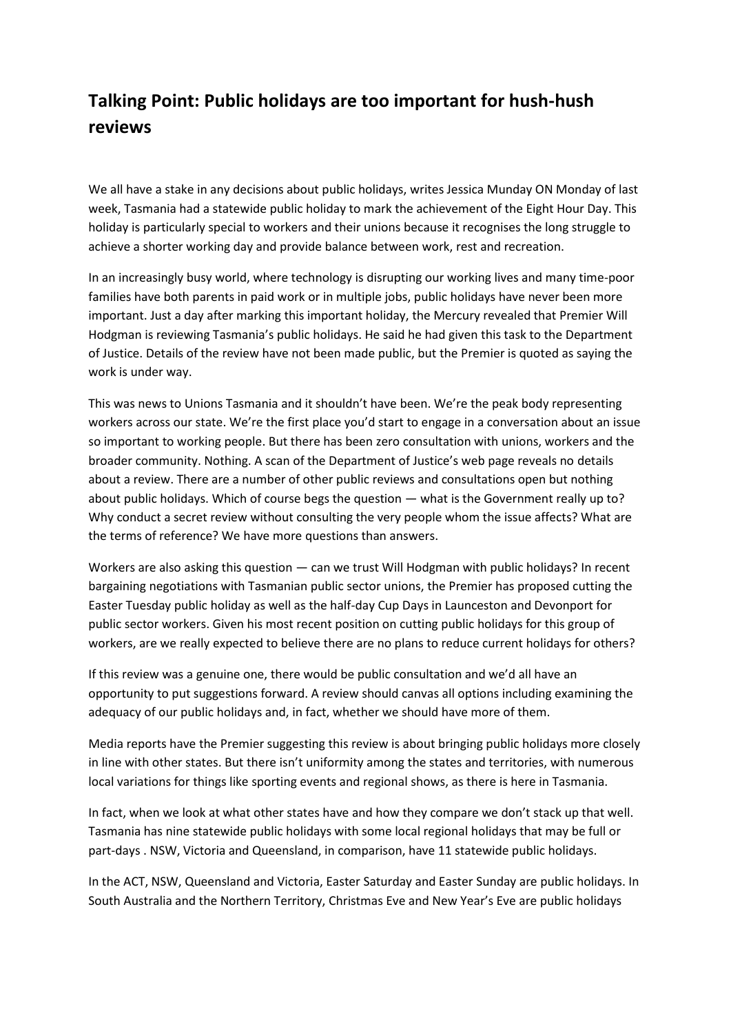## **Talking Point: Public holidays are too important for hush-hush reviews**

We all have a stake in any decisions about public holidays, writes Jessica Munday ON Monday of last week, Tasmania had a statewide public holiday to mark the achievement of the Eight Hour Day. This holiday is particularly special to workers and their unions because it recognises the long struggle to achieve a shorter working day and provide balance between work, rest and recreation.

In an increasingly busy world, where technology is disrupting our working lives and many time-poor families have both parents in paid work or in multiple jobs, public holidays have never been more important. Just a day after marking this important holiday, the Mercury revealed that Premier Will Hodgman is reviewing Tasmania's public holidays. He said he had given this task to the Department of Justice. Details of the review have not been made public, but the Premier is quoted as saying the work is under way.

This was news to Unions Tasmania and it shouldn't have been. We're the peak body representing workers across our state. We're the first place you'd start to engage in a conversation about an issue so important to working people. But there has been zero consultation with unions, workers and the broader community. Nothing. A scan of the Department of Justice's web page reveals no details about a review. There are a number of other public reviews and consultations open but nothing about public holidays. Which of course begs the question — what is the Government really up to? Why conduct a secret review without consulting the very people whom the issue affects? What are the terms of reference? We have more questions than answers.

Workers are also asking this question — can we trust Will Hodgman with public holidays? In recent bargaining negotiations with Tasmanian public sector unions, the Premier has proposed cutting the Easter Tuesday public holiday as well as the half-day Cup Days in Launceston and Devonport for public sector workers. Given his most recent position on cutting public holidays for this group of workers, are we really expected to believe there are no plans to reduce current holidays for others?

If this review was a genuine one, there would be public consultation and we'd all have an opportunity to put suggestions forward. A review should canvas all options including examining the adequacy of our public holidays and, in fact, whether we should have more of them.

Media reports have the Premier suggesting this review is about bringing public holidays more closely in line with other states. But there isn't uniformity among the states and territories, with numerous local variations for things like sporting events and regional shows, as there is here in Tasmania.

In fact, when we look at what other states have and how they compare we don't stack up that well. Tasmania has nine statewide public holidays with some local regional holidays that may be full or part-days . NSW, Victoria and Queensland, in comparison, have 11 statewide public holidays.

In the ACT, NSW, Queensland and Victoria, Easter Saturday and Easter Sunday are public holidays. In South Australia and the Northern Territory, Christmas Eve and New Year's Eve are public holidays